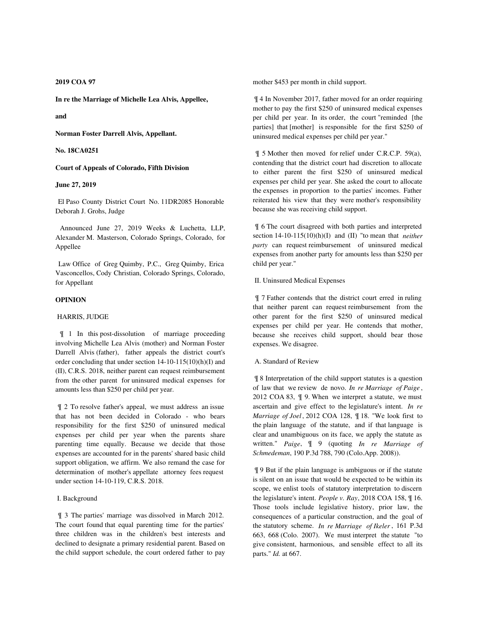## **2019 COA 97**

**In re the Marriage of Michelle Lea Alvis, Appellee,**

**and**

**Norman Foster Darrell Alvis, Appellant.**

**No. 18CA0251**

**Court of Appeals of Colorado, Fifth Division**

# **June 27, 2019**

 El Paso County District Court No. 11DR2085 Honorable Deborah J. Grohs, Judge

 Announced June 27, 2019 Weeks & Luchetta, LLP, Alexander M. Masterson, Colorado Springs, Colorado, for Appellee

 Law Office of Greg Quimby, P.C., Greg Quimby, Erica Vasconcellos, Cody Christian, Colorado Springs, Colorado, for Appellant

# **OPINION**

# HARRIS, JUDGE

 ¶ 1 In this post-dissolution of marriage proceeding involving Michelle Lea Alvis (mother) and Norman Foster Darrell Alvis (father), father appeals the district court's order concluding that under section 14-10-115(10)(h)(I) and (II), C.R.S. 2018, neither parent can request reimbursement from the other parent for uninsured medical expenses for amounts less than \$250 per child per year.

 ¶ 2 To resolve father's appeal, we must address an issue that has not been decided in Colorado - who bears responsibility for the first \$250 of uninsured medical expenses per child per year when the parents share parenting time equally. Because we decide that those expenses are accounted for in the parents' shared basic child support obligation, we affirm. We also remand the case for determination of mother's appellate attorney fees request under section 14-10-119, C.R.S. 2018.

### I. Background

 ¶ 3 The parties' marriage was dissolved in March 2012. The court found that equal parenting time for the parties' three children was in the children's best interests and declined to designate a primary residential parent. Based on the child support schedule, the court ordered father to pay

mother \$453 per month in child support.

 ¶ 4 In November 2017, father moved for an order requiring mother to pay the first \$250 of uninsured medical expenses per child per year. In its order, the court "reminded [the parties] that [mother] is responsible for the first \$250 of uninsured medical expenses per child per year."

 ¶ 5 Mother then moved for relief under C.R.C.P. 59(a), contending that the district court had discretion to allocate to either parent the first \$250 of uninsured medical expenses per child per year. She asked the court to allocate the expenses in proportion to the parties' incomes. Father reiterated his view that they were mother's responsibility because she was receiving child support.

 ¶ 6 The court disagreed with both parties and interpreted section 14-10-115(10)(h)(I) and (II) "to mean that *neither party* can request reimbursement of uninsured medical expenses from another party for amounts less than \$250 per child per year."

# II. Uninsured Medical Expenses

 ¶ 7 Father contends that the district court erred in ruling that neither parent can request reimbursement from the other parent for the first \$250 of uninsured medical expenses per child per year. He contends that mother, because she receives child support, should bear those expenses. We disagree.

### A. Standard of Review

 ¶ 8 Interpretation of the child support statutes is a question of law that we review de novo. *In re Marriage of Paige* , 2012 COA 83, ¶ 9. When we interpret a statute, we must ascertain and give effect to the legislature's intent. *In re Marriage of Joel*, 2012 COA 128, ¶ 18. "We look first to the plain language of the statute, and if that language is clear and unambiguous on its face, we apply the statute as written." *Paige*, ¶ 9 (quoting *In re Marriage of Schmedeman*, 190 P.3d 788, 790 (Colo.App. 2008)).

 ¶ 9 But if the plain language is ambiguous or if the statute is silent on an issue that would be expected to be within its scope, we enlist tools of statutory interpretation to discern the legislature's intent. *People v. Ray*, 2018 COA 158, ¶ 16. Those tools include legislative history, prior law, the consequences of a particular construction, and the goal of the statutory scheme. *In re Marriage of Ikeler* , 161 P.3d 663, 668 (Colo. 2007). We must interpret the statute "to give consistent, harmonious, and sensible effect to all its parts." *Id.* at 667.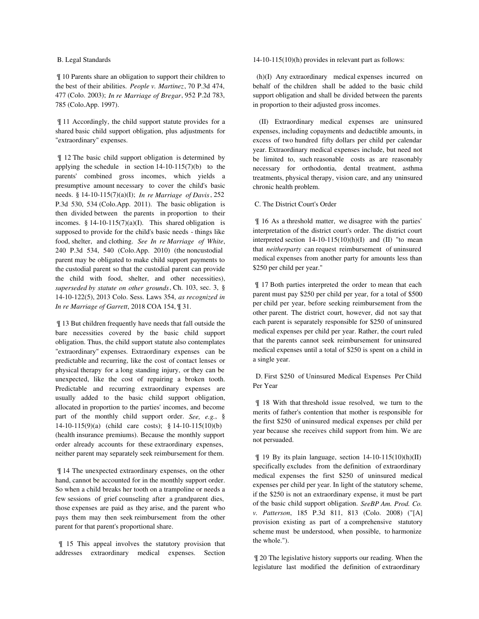## B. Legal Standards

 ¶ 10 Parents share an obligation to support their children to the best of their abilities. *People v. Martinez*, 70 P.3d 474, 477 (Colo. 2003); *In re Marriage of Bregar*, 952 P.2d 783, 785 (Colo.App. 1997).

 ¶ 11 Accordingly, the child support statute provides for a shared basic child support obligation, plus adjustments for "extraordinary" expenses.

 ¶ 12 The basic child support obligation is determined by applying the schedule in section  $14-10-115(7)(b)$  to the parents' combined gross incomes, which yields a presumptive amount necessary to cover the child's basic needs. § 14-10-115(7)(a)(I); *In re Marriage of Davis*, 252 P.3d 530, 534 (Colo.App. 2011). The basic obligation is then divided between the parents in proportion to their incomes.  $§$  14-10-115(7)(a)(I). This shared obligation is supposed to provide for the child's basic needs - things like food, shelter, and clothing. *See In re Marriage of White*, 240 P.3d 534, 540 (Colo.App. 2010) (the noncustodial parent may be obligated to make child support payments to the custodial parent so that the custodial parent can provide the child with food, shelter, and other necessities), *superseded by statute on other grounds*, Ch. 103, sec. 3, § 14-10-122(5), 2013 Colo. Sess. Laws 354, *as recognized in In re Marriage of Garrett*, 2018 COA 154, ¶ 31.

 ¶ 13 But children frequently have needs that fall outside the bare necessities covered by the basic child support obligation. Thus, the child support statute also contemplates "extraordinary" expenses. Extraordinary expenses can be predictable and recurring, like the cost of contact lenses or physical therapy for a long standing injury, or they can be unexpected, like the cost of repairing a broken tooth. Predictable and recurring extraordinary expenses are usually added to the basic child support obligation, allocated in proportion to the parties' incomes, and become part of the monthly child support order. *See, e.g.*, § 14-10-115(9)(a) (child care costs); § 14-10-115(10)(b) (health insurance premiums). Because the monthly support order already accounts for these extraordinary expenses, neither parent may separately seek reimbursement for them.

 ¶ 14 The unexpected extraordinary expenses, on the other hand, cannot be accounted for in the monthly support order. So when a child breaks her tooth on a trampoline or needs a few sessions of grief counseling after a grandparent dies, those expenses are paid as they arise, and the parent who pays them may then seek reimbursement from the other parent for that parent's proportional share.

 ¶ 15 This appeal involves the statutory provision that addresses extraordinary medical expenses. Section 14-10-115(10)(h) provides in relevant part as follows:

 (h)(I) Any extraordinary medical expenses incurred on behalf of the children shall be added to the basic child support obligation and shall be divided between the parents in proportion to their adjusted gross incomes.

 (II) Extraordinary medical expenses are uninsured expenses, including copayments and deductible amounts, in excess of two hundred fifty dollars per child per calendar year. Extraordinary medical expenses include, but need not be limited to, such reasonable costs as are reasonably necessary for orthodontia, dental treatment, asthma treatments, physical therapy, vision care, and any uninsured chronic health problem.

### C. The District Court's Order

 ¶ 16 As a threshold matter, we disagree with the parties' interpretation of the district court's order. The district court interpreted section  $14-10-115(10)(h)(I)$  and  $(II)$  "to mean that *neitherparty* can request reimbursement of uninsured medical expenses from another party for amounts less than \$250 per child per year."

 ¶ 17 Both parties interpreted the order to mean that each parent must pay \$250 per child per year, for a total of \$500 per child per year, before seeking reimbursement from the other parent. The district court, however, did not say that each parent is separately responsible for \$250 of uninsured medical expenses per child per year. Rather, the court ruled that the parents cannot seek reimbursement for uninsured medical expenses until a total of \$250 is spent on a child in a single year.

 D. First \$250 of Uninsured Medical Expenses Per Child Per Year

 ¶ 18 With that threshold issue resolved, we turn to the merits of father's contention that mother is responsible for the first \$250 of uninsured medical expenses per child per year because she receives child support from him. We are not persuaded.

 $\parallel$  19 By its plain language, section 14-10-115(10)(h)(II) specifically excludes from the definition of extraordinary medical expenses the first \$250 of uninsured medical expenses per child per year. In light of the statutory scheme, if the \$250 is not an extraordinary expense, it must be part of the basic child support obligation. *SeeBP Am. Prod. Co. v. Patterson*, 185 P.3d 811, 813 (Colo. 2008) ("[A] provision existing as part of a comprehensive statutory scheme must be understood, when possible, to harmonize the whole.").

 ¶ 20 The legislative history supports our reading. When the legislature last modified the definition of extraordinary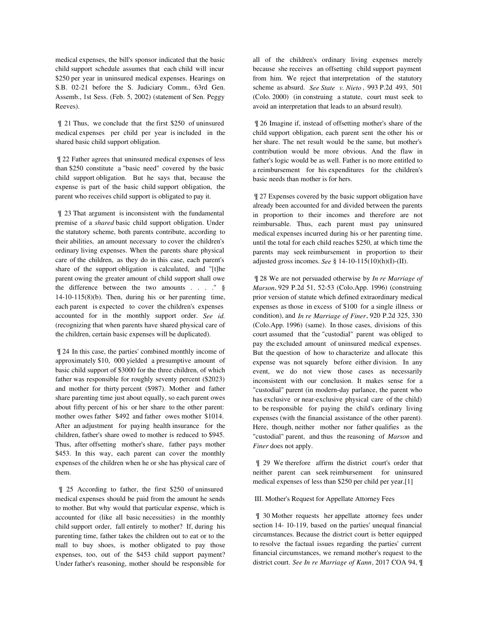medical expenses, the bill's sponsor indicated that the basic child support schedule assumes that each child will incur \$250 per year in uninsured medical expenses. Hearings on S.B. 02-21 before the S. Judiciary Comm., 63rd Gen. Assemb., 1st Sess. (Feb. 5, 2002) (statement of Sen. Peggy Reeves).

 ¶ 21 Thus, we conclude that the first \$250 of uninsured medical expenses per child per year is included in the shared basic child support obligation.

 ¶ 22 Father agrees that uninsured medical expenses of less than \$250 constitute a "basic need" covered by the basic child support obligation. But he says that, because the expense is part of the basic child support obligation, the parent who receives child support is obligated to pay it.

 ¶ 23 That argument is inconsistent with the fundamental premise of a *shared* basic child support obligation. Under the statutory scheme, both parents contribute, according to their abilities, an amount necessary to cover the children's ordinary living expenses. When the parents share physical care of the children, as they do in this case, each parent's share of the support obligation is calculated, and "[t]he parent owing the greater amount of child support shall owe the difference between the two amounts . . . ." § 14-10-115(8)(b). Then, during his or her parenting time, each parent is expected to cover the children's expenses accounted for in the monthly support order. *See id.* (recognizing that when parents have shared physical care of the children, certain basic expenses will be duplicated).

 ¶ 24 In this case, the parties' combined monthly income of approximately \$10, 000 yielded a presumptive amount of basic child support of \$3000 for the three children, of which father was responsible for roughly seventy percent (\$2023) and mother for thirty percent (\$987). Mother and father share parenting time just about equally, so each parent owes about fifty percent of his or her share to the other parent: mother owes father \$492 and father owes mother \$1014. After an adjustment for paying health insurance for the children, father's share owed to mother is reduced to \$945. Thus, after offsetting mother's share, father pays mother \$453. In this way, each parent can cover the monthly expenses of the children when he or she has physical care of them.

 ¶ 25 According to father, the first \$250 of uninsured medical expenses should be paid from the amount he sends to mother. But why would that particular expense, which is accounted for (like all basic necessities) in the monthly child support order, fall entirely to mother? If, during his parenting time, father takes the children out to eat or to the mall to buy shoes, is mother obligated to pay those expenses, too, out of the \$453 child support payment? Under father's reasoning, mother should be responsible for all of the children's ordinary living expenses merely because she receives an offsetting child support payment from him. We reject that interpretation of the statutory scheme as absurd. *See State v. Nieto* , 993 P.2d 493, 501 (Colo. 2000) (in construing a statute, court must seek to avoid an interpretation that leads to an absurd result).

 ¶ 26 Imagine if, instead of offsetting mother's share of the child support obligation, each parent sent the other his or her share. The net result would be the same, but mother's contribution would be more obvious. And the flaw in father's logic would be as well. Father is no more entitled to a reimbursement for his expenditures for the children's basic needs than mother is for hers.

 ¶ 27 Expenses covered by the basic support obligation have already been accounted for and divided between the parents in proportion to their incomes and therefore are not reimbursable. Thus, each parent must pay uninsured medical expenses incurred during his or her parenting time, until the total for each child reaches \$250, at which time the parents may seek reimbursement in proportion to their adjusted gross incomes. *See* § 14-10-115(10)(h)(I)-(II).

 ¶ 28 We are not persuaded otherwise by *In re Marriage of Marson*, 929 P.2d 51, 52-53 (Colo.App. 1996) (construing prior version of statute which defined extraordinary medical expenses as those in excess of \$100 for a single illness or condition), and *In re Marriage of Finer*, 920 P.2d 325, 330 (Colo.App. 1996) (same). In those cases, divisions of this court assumed that the "custodial" parent was obliged to pay the excluded amount of uninsured medical expenses. But the question of how to characterize and allocate this expense was not squarely before either division. In any event, we do not view those cases as necessarily inconsistent with our conclusion. It makes sense for a "custodial" parent (in modern-day parlance, the parent who has exclusive or near-exclusive physical care of the child) to be responsible for paying the child's ordinary living expenses (with the financial assistance of the other parent). Here, though, neither mother nor father qualifies as the "custodial" parent, and thus the reasoning of *Marson* and *Finer* does not apply.

 ¶ 29 We therefore affirm the district court's order that neither parent can seek reimbursement for uninsured medical expenses of less than \$250 per child per year.[1]

## III. Mother's Request for Appellate Attorney Fees

 ¶ 30 Mother requests her appellate attorney fees under section 14- 10-119, based on the parties' unequal financial circumstances. Because the district court is better equipped to resolve the factual issues regarding the parties' current financial circumstances, we remand mother's request to the district court. *See In re Marriage of Kann*, 2017 COA 94, ¶